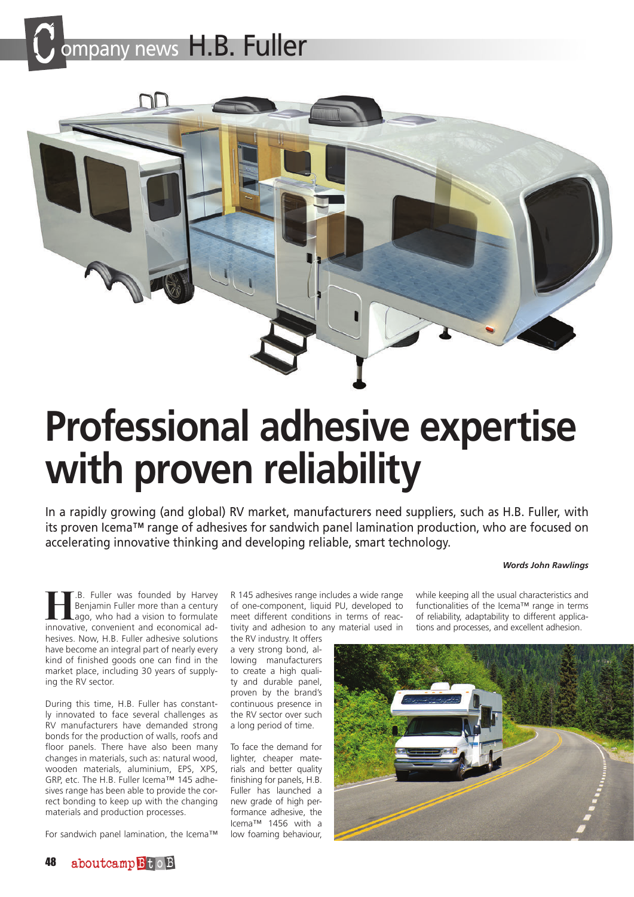



# **Professional adhesive expertise with proven reliability**

In a rapidly growing (and global) RV market, manufacturers need suppliers, such as H.B. Fuller, with its proven Icema™ range of adhesives for sandwich panel lamination production, who are focused on accelerating innovative thinking and developing reliable, smart technology.

#### *Words John Rawlings*

**Hengmin Fuller was founded by Harvey Benjamin Fuller more than a century ago, who had a vision to formulate innovative convenient and economical ad-**Benjamin Fuller more than a century ago, who had a vision to formulate innovative, convenient and economical adhesives. Now, H.B. Fuller adhesive solutions have become an integral part of nearly every kind of finished goods one can find in the market place, including 30 years of supplying the RV sector.

During this time, H.B. Fuller has constantly innovated to face several challenges as RV manufacturers have demanded strong bonds for the production of walls, roofs and floor panels. There have also been many changes in materials, such as: natural wood, wooden materials, aluminium, EPS, XPS, GRP, etc. The H.B. Fuller Icema™ 145 adhesives range has been able to provide the correct bonding to keep up with the changing materials and production processes.

For sandwich panel lamination, the Icema™

R 145 adhesives range includes a wide range of one-component, liquid PU, developed to meet different conditions in terms of reactivity and adhesion to any material used in

the RV industry. It offers a very strong bond, allowing manufacturers to create a high quality and durable panel, proven by the brand's continuous presence in the RV sector over such a long period of time.

To face the demand for lighter, cheaper materials and better quality finishing for panels, H.B. Fuller has launched a new grade of high performance adhesive, the Icema™ 1456 with a low foaming behaviour,

while keeping all the usual characteristics and functionalities of the Icema™ range in terms of reliability, adaptability to different applications and processes, and excellent adhesion.